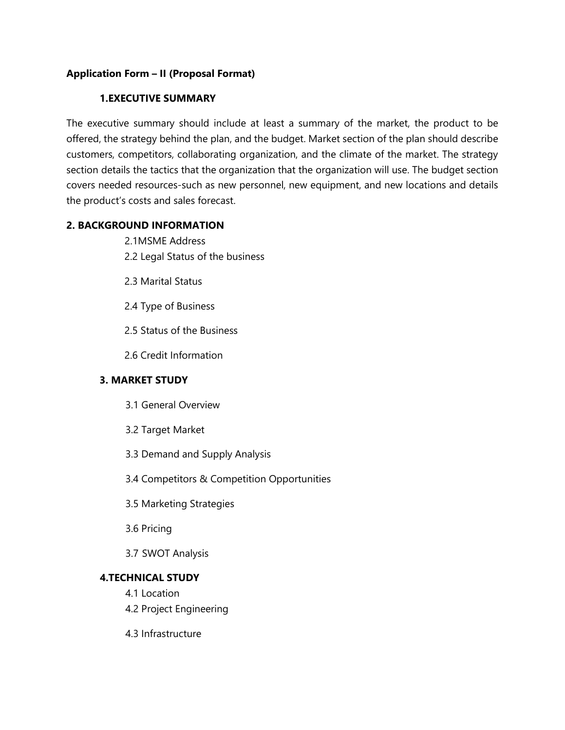# **Application Form – II (Proposal Format)**

# **1.EXECUTIVE SUMMARY**

The executive summary should include at least a summary of the market, the product to be offered, the strategy behind the plan, and the budget. Market section of the plan should describe customers, competitors, collaborating organization, and the climate of the market. The strategy section details the tactics that the organization that the organization will use. The budget section covers needed resources-such as new personnel, new equipment, and new locations and details the product's costs and sales forecast.

# **2. BACKGROUND INFORMATION**

- 2.1MSME Address
- 2.2 Legal Status of the business
- 2.3 Marital Status
- 2.4 Type of Business
- 2.5 Status of the Business
- 2.6 Credit Information

# **3. MARKET STUDY**

- 3.1 General Overview
- 3.2 Target Market
- 3.3 Demand and Supply Analysis
- 3.4 Competitors & Competition Opportunities
- 3.5 Marketing Strategies
- 3.6 Pricing
- 3.7 SWOT Analysis

### **4.TECHNICAL STUDY**

- 4.1 Location
- 4.2 Project Engineering
- 4.3 Infrastructure